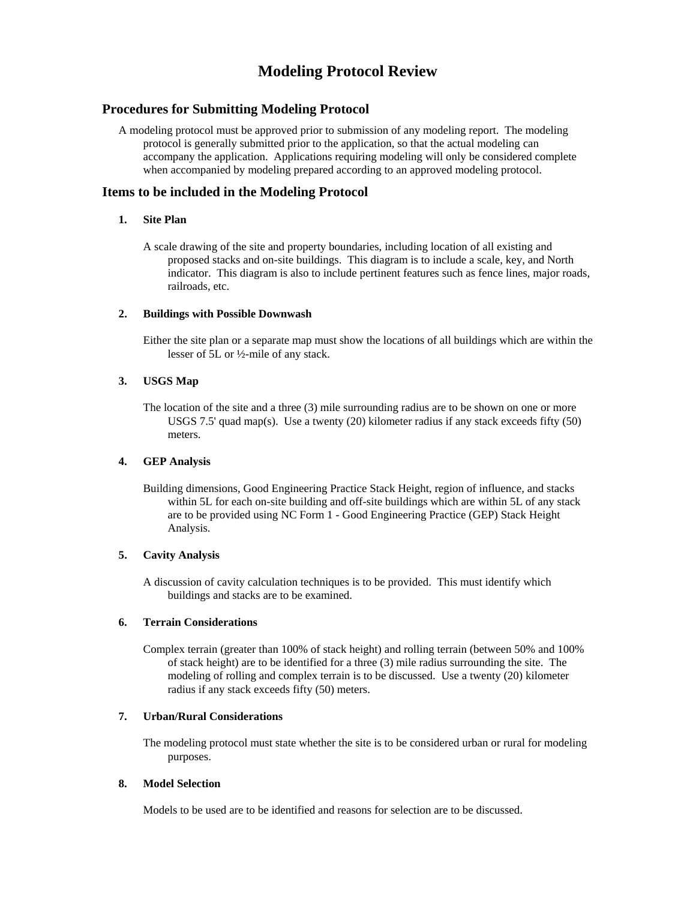# **Modeling Protocol Review**

# **Procedures for Submitting Modeling Protocol**

A modeling protocol must be approved prior to submission of any modeling report. The modeling protocol is generally submitted prior to the application, so that the actual modeling can accompany the application. Applications requiring modeling will only be considered complete when accompanied by modeling prepared according to an approved modeling protocol.

# **Items to be included in the Modeling Protocol**

## **1. Site Plan**

A scale drawing of the site and property boundaries, including location of all existing and proposed stacks and on-site buildings. This diagram is to include a scale, key, and North indicator. This diagram is also to include pertinent features such as fence lines, major roads, railroads, etc.

# **2. Buildings with Possible Downwash**

Either the site plan or a separate map must show the locations of all buildings which are within the lesser of 5L or ½-mile of any stack.

# **3. USGS Map**

The location of the site and a three (3) mile surrounding radius are to be shown on one or more USGS 7.5' quad map(s). Use a twenty (20) kilometer radius if any stack exceeds fifty (50) meters.

### **4. GEP Analysis**

Building dimensions, Good Engineering Practice Stack Height, region of influence, and stacks within 5L for each on-site building and off-site buildings which are within 5L of any stack are to be provided using NC Form 1 - Good Engineering Practice (GEP) Stack Height Analysis.

### **5. Cavity Analysis**

A discussion of cavity calculation techniques is to be provided. This must identify which buildings and stacks are to be examined.

### **6. Terrain Considerations**

Complex terrain (greater than 100% of stack height) and rolling terrain (between 50% and 100% of stack height) are to be identified for a three (3) mile radius surrounding the site. The modeling of rolling and complex terrain is to be discussed. Use a twenty (20) kilometer radius if any stack exceeds fifty (50) meters.

## **7. Urban/Rural Considerations**

The modeling protocol must state whether the site is to be considered urban or rural for modeling purposes.

### **8. Model Selection**

Models to be used are to be identified and reasons for selection are to be discussed.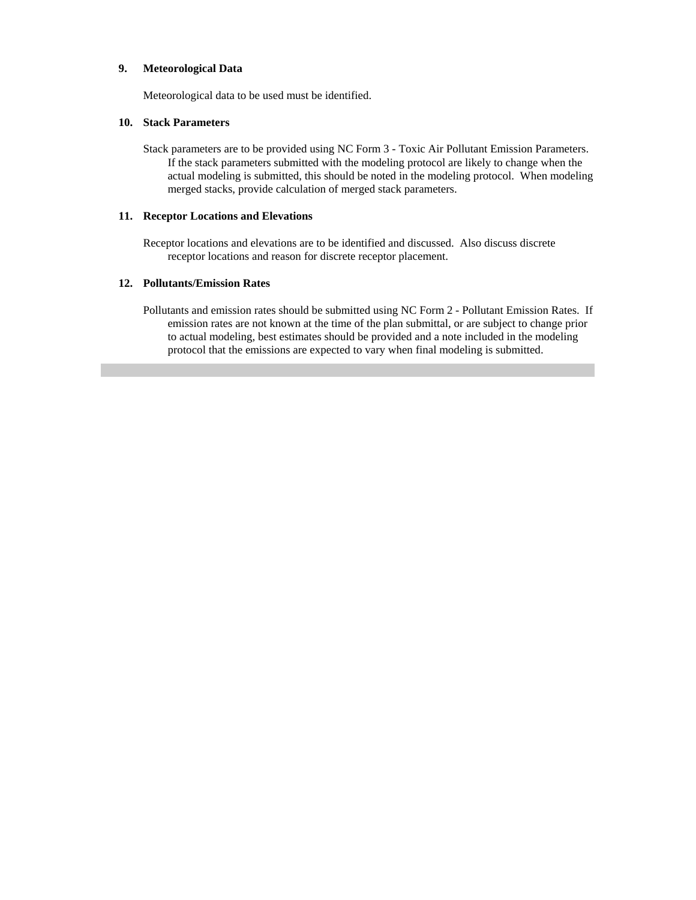#### **9. Meteorological Data**

Meteorological data to be used must be identified.

#### **10. Stack Parameters**

Stack parameters are to be provided using NC Form 3 - Toxic Air Pollutant Emission Parameters. If the stack parameters submitted with the modeling protocol are likely to change when the actual modeling is submitted, this should be noted in the modeling protocol. When modeling merged stacks, provide calculation of merged stack parameters.

#### **11. Receptor Locations and Elevations**

Receptor locations and elevations are to be identified and discussed. Also discuss discrete receptor locations and reason for discrete receptor placement.

#### **12. Pollutants/Emission Rates**

Pollutants and emission rates should be submitted using NC Form 2 - Pollutant Emission Rates. If emission rates are not known at the time of the plan submittal, or are subject to change prior to actual modeling, best estimates should be provided and a note included in the modeling protocol that the emissions are expected to vary when final modeling is submitted.